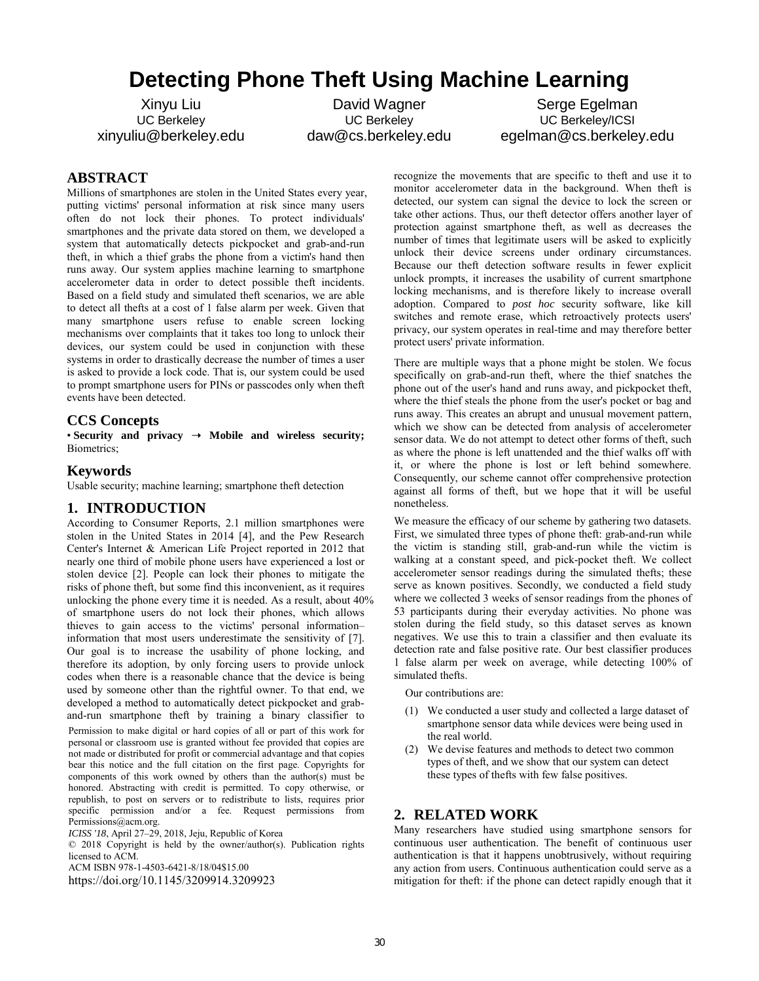# **Detecting Phone Theft Using Machine Learning**

Xinyu Liu UC Berkeley xinyuliu@berkeley.edu

David Wagner UC Berkeley daw@cs.berkeley.edu

Serge Egelman UC Berkeley/ICSI egelman@cs.berkeley.edu

# **ABSTRACT**

Millions of smartphones are stolen in the United States every year, putting victims' personal information at risk since many users often do not lock their phones. To protect individuals' smartphones and the private data stored on them, we developed a system that automatically detects pickpocket and grab-and-run theft, in which a thief grabs the phone from a victim's hand then runs away. Our system applies machine learning to smartphone accelerometer data in order to detect possible theft incidents. Based on a field study and simulated theft scenarios, we are able to detect all thefts at a cost of 1 false alarm per week. Given that many smartphone users refuse to enable screen locking mechanisms over complaints that it takes too long to unlock their devices, our system could be used in conjunction with these systems in order to drastically decrease the number of times a user is asked to provide a lock code. That is, our system could be used to prompt smartphone users for PINs or passcodes only when theft events have been detected.

# **CCS Concepts**

• Security and privacy  $\rightarrow$  Mobile and wireless security; Biometrics;

## **Keywords**

Usable security; machine learning; smartphone theft detection

## **1. INTRODUCTION**

According to Consumer Reports, 2.1 million smartphones were stolen in the United States in 2014 [4], and the Pew Research Center's Internet & American Life Project reported in 2012 that nearly one third of mobile phone users have experienced a lost or stolen device [2]. People can lock their phones to mitigate the risks of phone theft, but some find this inconvenient, as it requires unlocking the phone every time it is needed. As a result, about 40% of smartphone users do not lock their phones, which allows thieves to gain access to the victims' personal information– information that most users underestimate the sensitivity of [7]. Our goal is to increase the usability of phone locking, and therefore its adoption, by only forcing users to provide unlock codes when there is a reasonable chance that the device is being used by someone other than the rightful owner. To that end, we developed a method to automatically detect pickpocket and graband-run smartphone theft by training a binary classifier to Permission to make digital or hard copies of all or part of this work for personal or classroom use is granted without fee provided that copies are not made or distributed for profit or commercial advantage and that copies bear this notice and the full citation on the first page. Copyrights for components of this work owned by others than the author(s) must be honored. Abstracting with credit is permitted. To copy otherwise, or republish, to post on servers or to redistribute to lists, requires prior specific permission and/or a fee. Request permissions from Permissions@acm.org.

*ICISS '18*, April 27–29, 2018, Jeju, Republic of Korea

© 2018 Copyright is held by the owner/author(s). Publication rights licensed to ACM.

ACM ISBN 978-1-4503-6421-8/18/04\$15.00

https://doi.org/10.1145/3209914.3209923

recognize the movements that are specific to theft and use it to monitor accelerometer data in the background. When theft is detected, our system can signal the device to lock the screen or take other actions. Thus, our theft detector offers another layer of protection against smartphone theft, as well as decreases the number of times that legitimate users will be asked to explicitly unlock their device screens under ordinary circumstances. Because our theft detection software results in fewer explicit unlock prompts, it increases the usability of current smartphone locking mechanisms, and is therefore likely to increase overall adoption. Compared to *post hoc* security software, like kill switches and remote erase, which retroactively protects users' privacy, our system operates in real-time and may therefore better protect users' private information.

There are multiple ways that a phone might be stolen. We focus specifically on grab-and-run theft, where the thief snatches the phone out of the user's hand and runs away, and pickpocket theft, where the thief steals the phone from the user's pocket or bag and runs away. This creates an abrupt and unusual movement pattern, which we show can be detected from analysis of accelerometer sensor data. We do not attempt to detect other forms of theft, such as where the phone is left unattended and the thief walks off with it, or where the phone is lost or left behind somewhere. Consequently, our scheme cannot offer comprehensive protection against all forms of theft, but we hope that it will be useful nonetheless.

We measure the efficacy of our scheme by gathering two datasets. First, we simulated three types of phone theft: grab-and-run while the victim is standing still, grab-and-run while the victim is walking at a constant speed, and pick-pocket theft. We collect accelerometer sensor readings during the simulated thefts; these serve as known positives. Secondly, we conducted a field study where we collected 3 weeks of sensor readings from the phones of 53 participants during their everyday activities. No phone was stolen during the field study, so this dataset serves as known negatives. We use this to train a classifier and then evaluate its detection rate and false positive rate. Our best classifier produces 1 false alarm per week on average, while detecting 100% of simulated thefts.

Our contributions are:

- (1) We conducted a user study and collected a large dataset of smartphone sensor data while devices were being used in the real world.
- (2) We devise features and methods to detect two common types of theft, and we show that our system can detect these types of thefts with few false positives.

#### **2. RELATED WORK**

Many researchers have studied using smartphone sensors for continuous user authentication. The benefit of continuous user authentication is that it happens unobtrusively, without requiring any action from users. Continuous authentication could serve as a mitigation for theft: if the phone can detect rapidly enough that it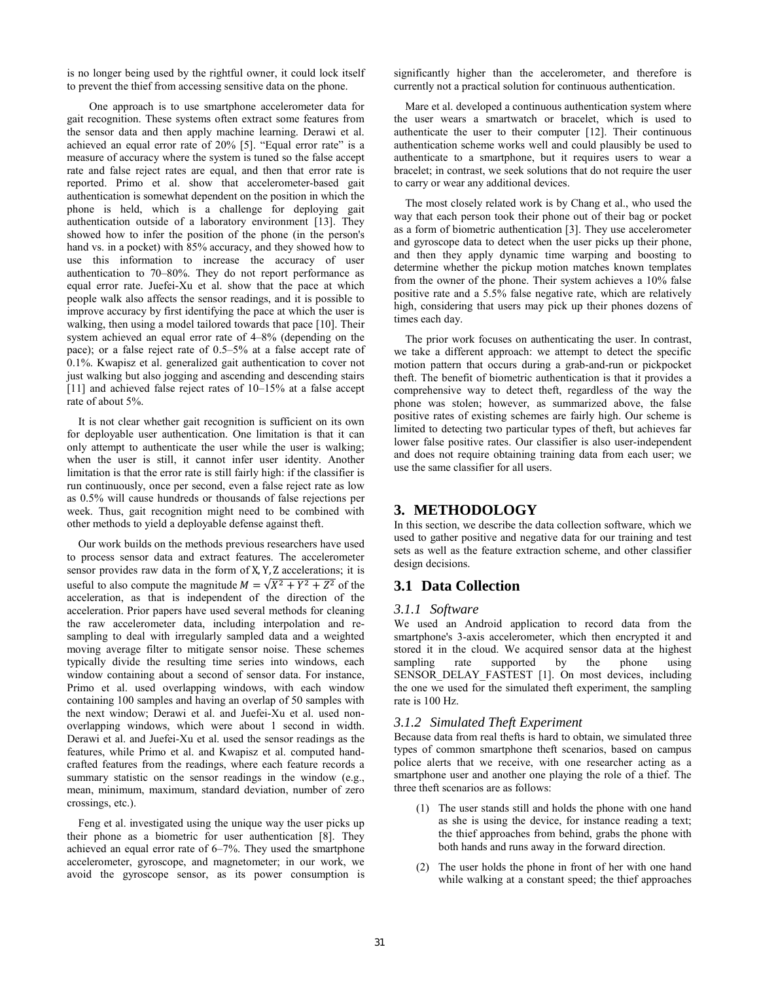is no longer being used by the rightful owner, it could lock itself to prevent the thief from accessing sensitive data on the phone.

One approach is to use smartphone accelerometer data for gait recognition. These systems often extract some features from the sensor data and then apply machine learning. Derawi et al. achieved an equal error rate of 20% [5]. "Equal error rate" is a measure of accuracy where the system is tuned so the false accept rate and false reject rates are equal, and then that error rate is reported. Primo et al. show that accelerometer-based gait authentication is somewhat dependent on the position in which the phone is held, which is a challenge for deploying gait authentication outside of a laboratory environment [13]. They showed how to infer the position of the phone (in the person's hand vs. in a pocket) with 85% accuracy, and they showed how to use this information to increase the accuracy of user authentication to 70–80%. They do not report performance as equal error rate. Juefei-Xu et al. show that the pace at which people walk also affects the sensor readings, and it is possible to improve accuracy by first identifying the pace at which the user is walking, then using a model tailored towards that pace [10]. Their system achieved an equal error rate of 4–8% (depending on the pace); or a false reject rate of 0.5–5% at a false accept rate of 0.1%. Kwapisz et al. generalized gait authentication to cover not just walking but also jogging and ascending and descending stairs [11] and achieved false reject rates of 10–15% at a false accept rate of about 5%.

 It is not clear whether gait recognition is sufficient on its own for deployable user authentication. One limitation is that it can only attempt to authenticate the user while the user is walking; when the user is still, it cannot infer user identity. Another limitation is that the error rate is still fairly high: if the classifier is run continuously, once per second, even a false reject rate as low as 0.5% will cause hundreds or thousands of false rejections per week. Thus, gait recognition might need to be combined with other methods to yield a deployable defense against theft.

 Our work builds on the methods previous researchers have used to process sensor data and extract features. The accelerometer sensor provides raw data in the form of X, Y, Z accelerations; it is useful to also compute the magnitude  $M = \sqrt{X^2 + Y^2 + Z^2}$  of the acceleration, as that is independent of the direction of the acceleration. Prior papers have used several methods for cleaning the raw accelerometer data, including interpolation and resampling to deal with irregularly sampled data and a weighted moving average filter to mitigate sensor noise. These schemes typically divide the resulting time series into windows, each window containing about a second of sensor data. For instance, Primo et al. used overlapping windows, with each window containing 100 samples and having an overlap of 50 samples with the next window; Derawi et al. and Juefei-Xu et al. used nonoverlapping windows, which were about 1 second in width. Derawi et al. and Juefei-Xu et al. used the sensor readings as the features, while Primo et al. and Kwapisz et al. computed handcrafted features from the readings, where each feature records a summary statistic on the sensor readings in the window (e.g., mean, minimum, maximum, standard deviation, number of zero crossings, etc.).

 Feng et al. investigated using the unique way the user picks up their phone as a biometric for user authentication [8]. They achieved an equal error rate of 6–7%. They used the smartphone accelerometer, gyroscope, and magnetometer; in our work, we avoid the gyroscope sensor, as its power consumption is significantly higher than the accelerometer, and therefore is currently not a practical solution for continuous authentication.

 Mare et al. developed a continuous authentication system where the user wears a smartwatch or bracelet, which is used to authenticate the user to their computer [12]. Their continuous authentication scheme works well and could plausibly be used to authenticate to a smartphone, but it requires users to wear a bracelet; in contrast, we seek solutions that do not require the user to carry or wear any additional devices.

 The most closely related work is by Chang et al., who used the way that each person took their phone out of their bag or pocket as a form of biometric authentication [3]. They use accelerometer and gyroscope data to detect when the user picks up their phone, and then they apply dynamic time warping and boosting to determine whether the pickup motion matches known templates from the owner of the phone. Their system achieves a 10% false positive rate and a 5.5% false negative rate, which are relatively high, considering that users may pick up their phones dozens of times each day.

 The prior work focuses on authenticating the user. In contrast, we take a different approach: we attempt to detect the specific motion pattern that occurs during a grab-and-run or pickpocket theft. The benefit of biometric authentication is that it provides a comprehensive way to detect theft, regardless of the way the phone was stolen; however, as summarized above, the false positive rates of existing schemes are fairly high. Our scheme is limited to detecting two particular types of theft, but achieves far lower false positive rates. Our classifier is also user-independent and does not require obtaining training data from each user; we use the same classifier for all users.

## **3. METHODOLOGY**

In this section, we describe the data collection software, which we used to gather positive and negative data for our training and test sets as well as the feature extraction scheme, and other classifier design decisions.

# **3.1 Data Collection**

#### *3.1.1 Software*

We used an Android application to record data from the smartphone's 3-axis accelerometer, which then encrypted it and stored it in the cloud. We acquired sensor data at the highest sampling rate supported by the phone using SENSOR\_DELAY\_FASTEST [1]. On most devices, including the one we used for the simulated theft experiment, the sampling rate is 100 Hz.

## *3.1.2 Simulated Theft Experiment*

Because data from real thefts is hard to obtain, we simulated three types of common smartphone theft scenarios, based on campus police alerts that we receive, with one researcher acting as a smartphone user and another one playing the role of a thief. The three theft scenarios are as follows:

- (1) The user stands still and holds the phone with one hand as she is using the device, for instance reading a text; the thief approaches from behind, grabs the phone with both hands and runs away in the forward direction.
- (2) The user holds the phone in front of her with one hand while walking at a constant speed; the thief approaches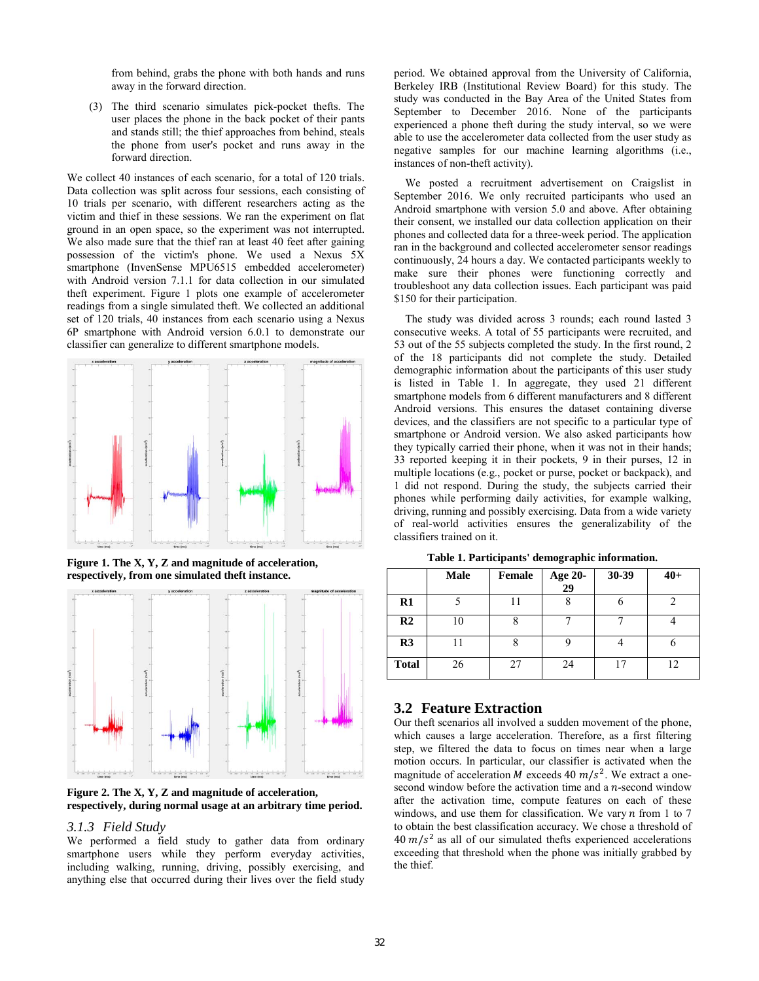from behind, grabs the phone with both hands and runs away in the forward direction.

(3) The third scenario simulates pick-pocket thefts. The user places the phone in the back pocket of their pants and stands still; the thief approaches from behind, steals the phone from user's pocket and runs away in the forward direction.

We collect 40 instances of each scenario, for a total of 120 trials. Data collection was split across four sessions, each consisting of 10 trials per scenario, with different researchers acting as the victim and thief in these sessions. We ran the experiment on flat ground in an open space, so the experiment was not interrupted. We also made sure that the thief ran at least 40 feet after gaining possession of the victim's phone. We used a Nexus 5X smartphone (InvenSense MPU6515 embedded accelerometer) with Android version 7.1.1 for data collection in our simulated theft experiment. Figure 1 plots one example of accelerometer readings from a single simulated theft. We collected an additional set of 120 trials, 40 instances from each scenario using a Nexus 6P smartphone with Android version 6.0.1 to demonstrate our classifier can generalize to different smartphone models.



**Figure 1. The X, Y, Z and magnitude of acceleration, respectively, from one simulated theft instance.**



**Figure 2. The X, Y, Z and magnitude of acceleration, respectively, during normal usage at an arbitrary time period.**

#### *3.1.3 Field Study*

We performed a field study to gather data from ordinary smartphone users while they perform everyday activities, including walking, running, driving, possibly exercising, and anything else that occurred during their lives over the field study

period. We obtained approval from the University of California, Berkeley IRB (Institutional Review Board) for this study. The study was conducted in the Bay Area of the United States from September to December 2016. None of the participants experienced a phone theft during the study interval, so we were able to use the accelerometer data collected from the user study as negative samples for our machine learning algorithms (i.e., instances of non-theft activity).

 We posted a recruitment advertisement on Craigslist in September 2016. We only recruited participants who used an Android smartphone with version 5.0 and above. After obtaining their consent, we installed our data collection application on their phones and collected data for a three-week period. The application ran in the background and collected accelerometer sensor readings continuously, 24 hours a day. We contacted participants weekly to make sure their phones were functioning correctly and troubleshoot any data collection issues. Each participant was paid \$150 for their participation.

 The study was divided across 3 rounds; each round lasted 3 consecutive weeks. A total of 55 participants were recruited, and 53 out of the 55 subjects completed the study. In the first round, 2 of the 18 participants did not complete the study. Detailed demographic information about the participants of this user study is listed in Table 1. In aggregate, they used 21 different smartphone models from 6 different manufacturers and 8 different Android versions. This ensures the dataset containing diverse devices, and the classifiers are not specific to a particular type of smartphone or Android version. We also asked participants how they typically carried their phone, when it was not in their hands; 33 reported keeping it in their pockets, 9 in their purses, 12 in multiple locations (e.g., pocket or purse, pocket or backpack), and 1 did not respond. During the study, the subjects carried their phones while performing daily activities, for example walking, driving, running and possibly exercising. Data from a wide variety of real-world activities ensures the generalizability of the classifiers trained on it.

**Male Female Age 20- 29 30-39 40+ R1** | 5 | 11 | 8 | 6 | 2 **R2** | 10 | 8 | 7 | 7 | 4 **R3** | 11 | 8 | 9 | 4 | 6

**Total** 26 27 24 17 22

**Table 1. Participants' demographic information.**

### **3.2 Feature Extraction**

Our theft scenarios all involved a sudden movement of the phone, which causes a large acceleration. Therefore, as a first filtering step, we filtered the data to focus on times near when a large motion occurs. In particular, our classifier is activated when the magnitude of acceleration *M* exceeds 40  $m/s^2$ . We extract a onesecond window before the activation time and a  $n$ -second window after the activation time, compute features on each of these windows, and use them for classification. We vary  $n$  from 1 to 7 to obtain the best classification accuracy. We chose a threshold of  $40 \, m/s^2$  as all of our simulated thefts experienced accelerations exceeding that threshold when the phone was initially grabbed by the thief.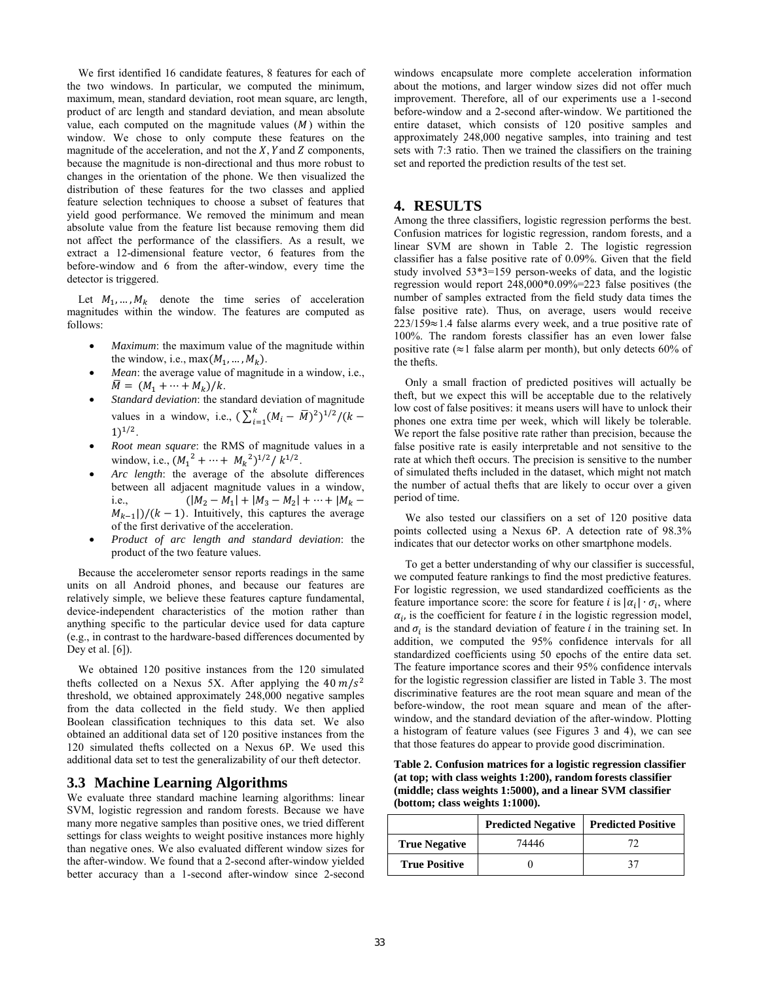We first identified 16 candidate features, 8 features for each of the two windows. In particular, we computed the minimum, maximum, mean, standard deviation, root mean square, arc length, product of arc length and standard deviation, and mean absolute value, each computed on the magnitude values  $(M)$  within the window. We chose to only compute these features on the magnitude of the acceleration, and not the  $X$ , Y and  $Z$  components, because the magnitude is non-directional and thus more robust to changes in the orientation of the phone. We then visualized the distribution of these features for the two classes and applied feature selection techniques to choose a subset of features that yield good performance. We removed the minimum and mean absolute value from the feature list because removing them did not affect the performance of the classifiers. As a result, we extract a 12-dimensional feature vector, 6 features from the before-window and 6 from the after-window, every time the detector is triggered.

Let  $M_1, \ldots, M_k$  denote the time series of acceleration magnitudes within the window. The features are computed as follows:

- *Maximum*: the maximum value of the magnitude within the window, i.e., max $(M_1, ..., M_k)$ .
- *Mean*: the average value of magnitude in a window, i.e.,  $\label{eq:1D1V:2} \overline{M} = \, \big( M_1 + \cdots + M_k \big) / k.$
- *Standard deviation*: the standard deviation of magnitude values in a window, i.e.,  $(\sum_{i=1}^{k} (M_i - \bar{M})^2)^{1/2} / (k 1)$ <sup> $1/2$ </sup>.
- *Root mean square*: the RMS of magnitude values in a window, i.e.,  $(M_1^2 + \cdots + M_k^2)^{1/2} / k^{1/2}$ .
- Arc length: the average of the absolute differences between all adjacent magnitude values in a window, i.e.,  $(|M_2 - M_1| + |M_3 - M_2| + \cdots + |M_k M_{k-1}$ |)/( $k-1$ ). Intuitively, this captures the average of the first derivative of the acceleration.
- *Product of arc length and standard deviation*: the product of the two feature values.

 Because the accelerometer sensor reports readings in the same units on all Android phones, and because our features are relatively simple, we believe these features capture fundamental, device-independent characteristics of the motion rather than anything specific to the particular device used for data capture (e.g., in contrast to the hardware-based differences documented by Dey et al.  $[6]$ ).

 We obtained 120 positive instances from the 120 simulated thefts collected on a Nexus 5X. After applying the  $40 \, m/s^2$ threshold, we obtained approximately 248,000 negative samples from the data collected in the field study. We then applied Boolean classification techniques to this data set. We also obtained an additional data set of 120 positive instances from the 120 simulated thefts collected on a Nexus 6P. We used this additional data set to test the generalizability of our theft detector.

#### **3.3 Machine Learning Algorithms**

We evaluate three standard machine learning algorithms: linear SVM, logistic regression and random forests. Because we have many more negative samples than positive ones, we tried different settings for class weights to weight positive instances more highly than negative ones. We also evaluated different window sizes for the after-window. We found that a 2-second after-window yielded better accuracy than a 1-second after-window since 2-second windows encapsulate more complete acceleration information about the motions, and larger window sizes did not offer much improvement. Therefore, all of our experiments use a 1-second before-window and a 2-second after-window. We partitioned the entire dataset, which consists of 120 positive samples and approximately 248,000 negative samples, into training and test sets with 7:3 ratio. Then we trained the classifiers on the training set and reported the prediction results of the test set.

#### **4. RESULTS**

Among the three classifiers, logistic regression performs the best. Confusion matrices for logistic regression, random forests, and a linear SVM are shown in Table 2. The logistic regression classifier has a false positive rate of 0.09%. Given that the field study involved 53\*3=159 person-weeks of data, and the logistic regression would report 248,000\*0.09%=223 false positives (the number of samples extracted from the field study data times the false positive rate). Thus, on average, users would receive 223/159≈1.4 false alarms every week, and a true positive rate of 100%. The random forests classifier has an even lower false positive rate ( $\approx$ 1 false alarm per month), but only detects 60% of the thefts.

 Only a small fraction of predicted positives will actually be theft, but we expect this will be acceptable due to the relatively low cost of false positives: it means users will have to unlock their phones one extra time per week, which will likely be tolerable. We report the false positive rate rather than precision, because the false positive rate is easily interpretable and not sensitive to the rate at which theft occurs. The precision is sensitive to the number of simulated thefts included in the dataset, which might not match the number of actual thefts that are likely to occur over a given period of time.

 We also tested our classifiers on a set of 120 positive data points collected using a Nexus 6P. A detection rate of 98.3% indicates that our detector works on other smartphone models.

 To get a better understanding of why our classifier is successful, we computed feature rankings to find the most predictive features. For logistic regression, we used standardized coefficients as the feature importance score: the score for feature *i* is  $| \alpha_i | \cdot \sigma_i$ , where  $\alpha_i$ , is the coefficient for feature *i* in the logistic regression model, and  $\sigma_i$  is the standard deviation of feature *i* in the training set. In addition, we computed the 95% confidence intervals for all standardized coefficients using 50 epochs of the entire data set. The feature importance scores and their 95% confidence intervals for the logistic regression classifier are listed in Table 3. The most discriminative features are the root mean square and mean of the before-window, the root mean square and mean of the afterwindow, and the standard deviation of the after-window. Plotting a histogram of feature values (see Figures 3 and 4), we can see that those features do appear to provide good discrimination.

**Table 2. Confusion matrices for a logistic regression classifier (at top; with class weights 1:200), random forests classifier (middle; class weights 1:5000), and a linear SVM classifier (bottom; class weights 1:1000).**

|                      | <b>Predicted Negative</b> | <b>Predicted Positive</b> |
|----------------------|---------------------------|---------------------------|
| <b>True Negative</b> | 74446                     | 77                        |
| <b>True Positive</b> |                           | 37                        |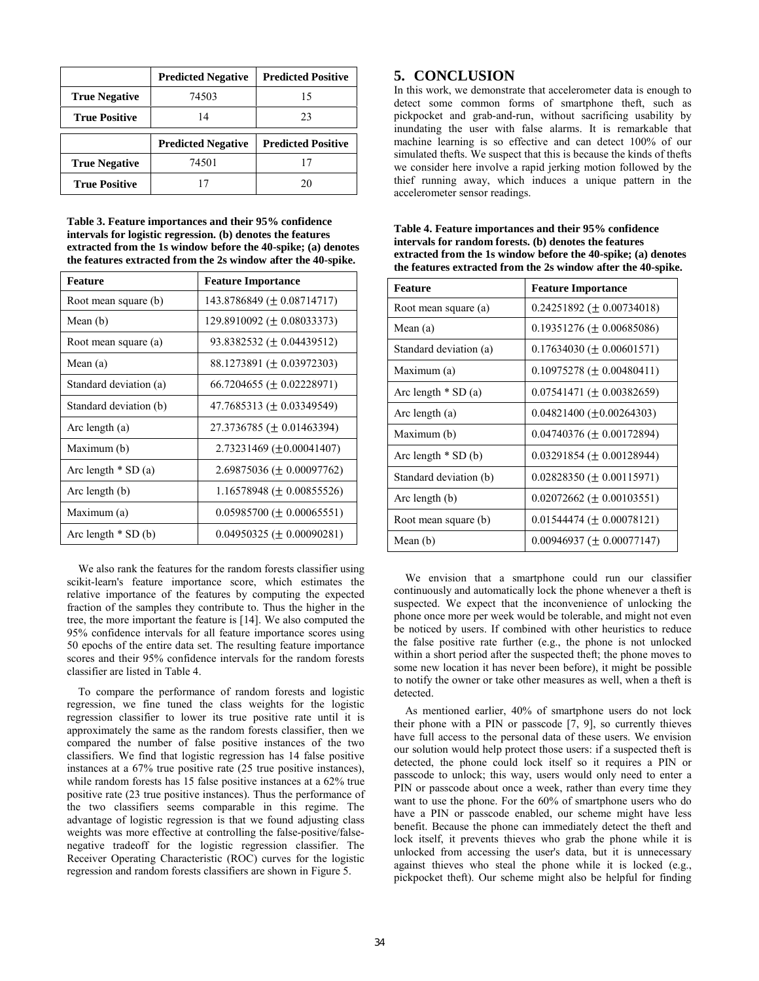|                      | <b>Predicted Negative</b> | <b>Predicted Positive</b> |
|----------------------|---------------------------|---------------------------|
| <b>True Negative</b> | 74503                     | 15                        |
| <b>True Positive</b> | 14                        | 23                        |
|                      |                           |                           |
|                      | <b>Predicted Negative</b> | <b>Predicted Positive</b> |
| <b>True Negative</b> | 74501                     | 17                        |

**Table 3. Feature importances and their 95% confidence intervals for logistic regression. (b) denotes the features extracted from the 1s window before the 40-spike; (a) denotes the features extracted from the 2s window after the 40-spike.** 

| <b>Feature</b>         | <b>Feature Importance</b>                  |
|------------------------|--------------------------------------------|
| Root mean square (b)   | $143.8786849 \ (\pm 0.08714717)$           |
| Mean $(b)$             | 129.8910092 ( $\pm$ 0.08033373)            |
| Root mean square (a)   | 93.8382532 (± 0.04439512)                  |
| Mean (a)               | $88.1273891 (\pm 0.03972303)$              |
| Standard deviation (a) | 66.7204655 ( $\pm$ 0.02228971)             |
| Standard deviation (b) | 47.7685313 ( $\pm$ 0.03349549)             |
| Arc length (a)         | $27.3736785 \ (\pm 0.01463394)$            |
| Maximum (b)            | $2.73231469 \left( \pm 0.00041407 \right)$ |
| Arc length $*$ SD (a)  | $2.69875036 \left( \pm 0.00097762 \right)$ |
| Arc length (b)         | 1.16578948 ( $\pm$ 0.00855526)             |
| Maximum (a)            | $0.05985700 \ (\pm 0.00065551)$            |
| Arc length $*$ SD (b)  | $0.04950325 (\pm 0.00090281)$              |

 We also rank the features for the random forests classifier using scikit-learn's feature importance score, which estimates the relative importance of the features by computing the expected fraction of the samples they contribute to. Thus the higher in the tree, the more important the feature is [14]. We also computed the 95% confidence intervals for all feature importance scores using 50 epochs of the entire data set. The resulting feature importance scores and their 95% confidence intervals for the random forests classifier are listed in Table 4.

 To compare the performance of random forests and logistic regression, we fine tuned the class weights for the logistic regression classifier to lower its true positive rate until it is approximately the same as the random forests classifier, then we compared the number of false positive instances of the two classifiers. We find that logistic regression has 14 false positive instances at a 67% true positive rate (25 true positive instances), while random forests has 15 false positive instances at a 62% true positive rate (23 true positive instances). Thus the performance of the two classifiers seems comparable in this regime. The advantage of logistic regression is that we found adjusting class weights was more effective at controlling the false-positive/falsenegative tradeoff for the logistic regression classifier. The Receiver Operating Characteristic (ROC) curves for the logistic regression and random forests classifiers are shown in Figure 5.

# **5. CONCLUSION**

In this work, we demonstrate that accelerometer data is enough to detect some common forms of smartphone theft, such as pickpocket and grab-and-run, without sacrificing usability by inundating the user with false alarms. It is remarkable that machine learning is so effective and can detect 100% of our simulated thefts. We suspect that this is because the kinds of thefts we consider here involve a rapid jerking motion followed by the thief running away, which induces a unique pattern in the accelerometer sensor readings.

**Table 4. Feature importances and their 95% confidence intervals for random forests. (b) denotes the features extracted from the 1s window before the 40-spike; (a) denotes the features extracted from the 2s window after the 40-spike.**

| <b>Feature</b>         | <b>Feature Importance</b>                  |
|------------------------|--------------------------------------------|
| Root mean square (a)   | $0.24251892 \ (\pm 0.00734018)$            |
| Mean $(a)$             | $0.19351276 \ (\pm 0.00685086)$            |
| Standard deviation (a) | $0.17634030 (\pm 0.00601571)$              |
| Maximum (a)            | $0.10975278 \ (\pm 0.00480411)$            |
| Arc length $*$ SD (a)  | $0.07541471 (\pm 0.00382659)$              |
| Arc length (a)         | $0.04821400 \ (\pm 0.00264303)$            |
| Maximum (b)            | $0.04740376 \left( \pm 0.00172894 \right)$ |
| Arc length $*$ SD (b)  | $0.03291854 \left( \pm 0.00128944 \right)$ |
| Standard deviation (b) | $0.02828350 (\pm 0.00115971)$              |
| Arc length (b)         | $0.02072662 \left( \pm 0.00103551 \right)$ |
| Root mean square (b)   | $0.01544474 (\pm 0.00078121)$              |
| Mean $(b)$             | $0.00946937 (\pm 0.00077147)$              |

 We envision that a smartphone could run our classifier continuously and automatically lock the phone whenever a theft is suspected. We expect that the inconvenience of unlocking the phone once more per week would be tolerable, and might not even be noticed by users. If combined with other heuristics to reduce the false positive rate further (e.g., the phone is not unlocked within a short period after the suspected theft; the phone moves to some new location it has never been before), it might be possible to notify the owner or take other measures as well, when a theft is detected.

 As mentioned earlier, 40% of smartphone users do not lock their phone with a PIN or passcode  $[7, 9]$ , so currently thieves have full access to the personal data of these users. We envision our solution would help protect those users: if a suspected theft is detected, the phone could lock itself so it requires a PIN or passcode to unlock; this way, users would only need to enter a PIN or passcode about once a week, rather than every time they want to use the phone. For the 60% of smartphone users who do have a PIN or passcode enabled, our scheme might have less benefit. Because the phone can immediately detect the theft and lock itself, it prevents thieves who grab the phone while it is unlocked from accessing the user's data, but it is unnecessary against thieves who steal the phone while it is locked (e.g., pickpocket theft). Our scheme might also be helpful for finding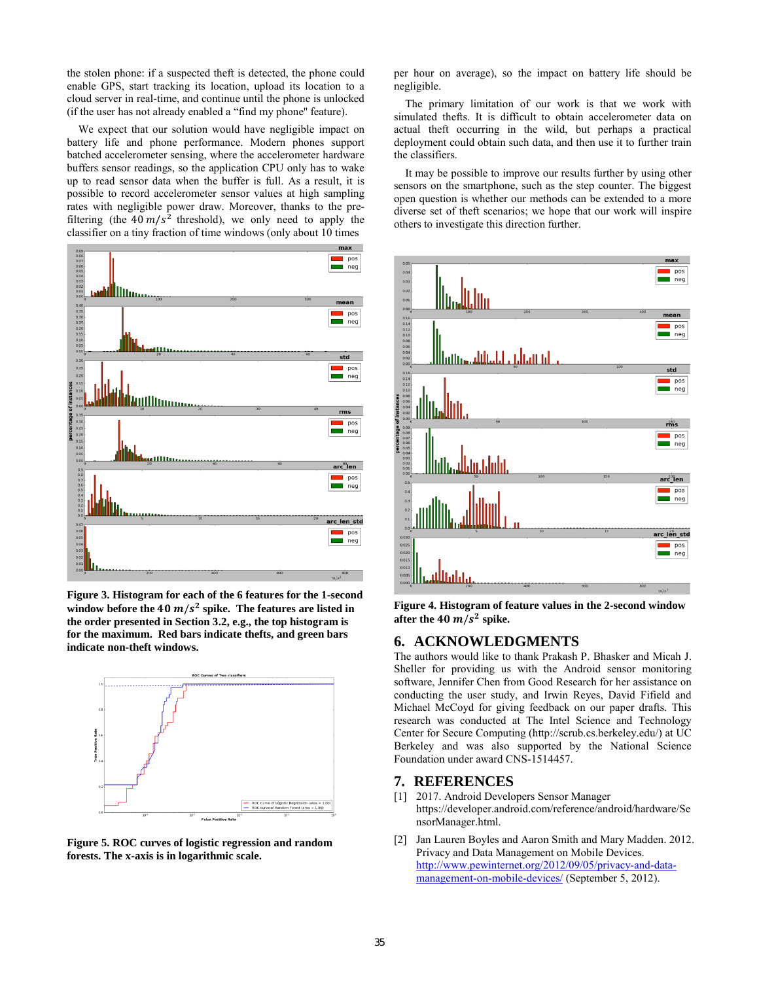the stolen phone: if a suspected theft is detected, the phone could enable GPS, start tracking its location, upload its location to a cloud server in real-time, and continue until the phone is unlocked (if the user has not already enabled a "find my phone'' feature).

 We expect that our solution would have negligible impact on battery life and phone performance. Modern phones support batched accelerometer sensing, where the accelerometer hardware buffers sensor readings, so the application CPU only has to wake up to read sensor data when the buffer is full. As a result, it is possible to record accelerometer sensor values at high sampling rates with negligible power draw. Moreover, thanks to the prefiltering (the 40  $m/s^2$  threshold), we only need to apply the classifier on a tiny fraction of time windows (only about 10 times



**Figure 3. Histogram for each of the 6 features for the 1-second**  window before the 40  $m/s^2$  spike. The features are listed in **the order presented in Section 3.2, e.g., the top histogram is for the maximum. Red bars indicate thefts, and green bars indicate non-theft windows.** 



**Figure 5. ROC curves of logistic regression and random forests. The x-axis is in logarithmic scale.**

per hour on average), so the impact on battery life should be negligible.

 The primary limitation of our work is that we work with simulated thefts. It is difficult to obtain accelerometer data on actual theft occurring in the wild, but perhaps a practical deployment could obtain such data, and then use it to further train the classifiers.

 It may be possible to improve our results further by using other sensors on the smartphone, such as the step counter. The biggest open question is whether our methods can be extended to a more diverse set of theft scenarios; we hope that our work will inspire others to investigate this direction further.



**Figure 4. Histogram of feature values in the 2-second window**  after the  $40 \frac{m}{s^2}$  spike.

## **6. ACKNOWLEDGMENTS**

The authors would like to thank Prakash P. Bhasker and Micah J. Sheller for providing us with the Android sensor monitoring software, Jennifer Chen from Good Research for her assistance on conducting the user study, and Irwin Reyes, David Fifield and Michael McCoyd for giving feedback on our paper drafts. This research was conducted at The Intel Science and Technology Center for Secure Computing (http://scrub.cs.berkeley.edu/) at UC Berkeley and was also supported by the National Science Foundation under award CNS-1514457.

#### **7. REFERENCES**

- [1] 2017. Android Developers Sensor Manager https://developer.android.com/reference/android/hardware/Se nsorManager.html.
- [2] Jan Lauren Boyles and Aaron Smith and Mary Madden. 2012. Privacy and Data Management on Mobile Devices. [http://www.pewinternet.org/2012/09/05/privacy-and-data](http://www.pewinternet.org/2012/09/05/privacy-and-data-management-on-mobile-devices/)[management-on-mobile-devices/ \(](http://www.pewinternet.org/2012/09/05/privacy-and-data-management-on-mobile-devices/)September 5, 2012).